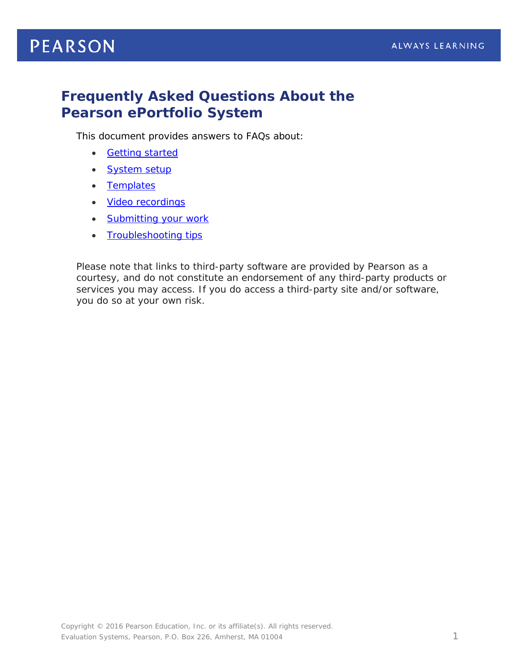# **PEARSON**

## **Frequently Asked Questions About the Pearson ePortfolio System**

This document provides answers to FAQs about:

- [Getting started](#page-1-0)
- [System setup](#page-2-0)
- [Templates](#page-3-0)
- [Video recordings](#page-3-1)
- [Submitting your](#page-6-0) work
- [Troubleshooting tips](#page-6-1)

*Please note that links to third-party software are provided by Pearson as a courtesy, and do not constitute an endorsement of any third-party products or services you may access. If you do access a third-party site and/or software, you do so at your own risk.*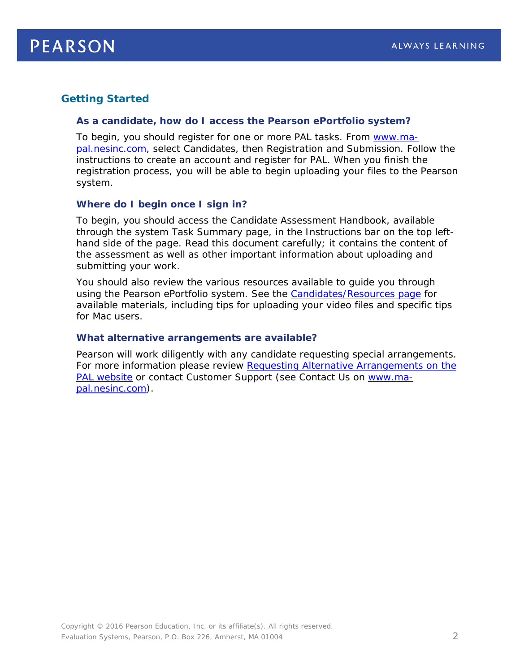## <span id="page-1-0"></span>**Getting Started**

#### *As a candidate, how do I access the Pearson ePortfolio system?*

To begin, you should register for one or more PAL tasks. From [www.ma](http://www.ma-pal.nesinc.com/)[pal.nesinc.com,](http://www.ma-pal.nesinc.com/) select Candidates, then Registration and Submission. Follow the instructions to create an account and register for PAL. When you finish the registration process, you will be able to begin uploading your files to the Pearson system.

#### *Where do I begin once I sign in?*

To begin, you should access the Candidate Assessment Handbook, available through the system Task Summary page, in the Instructions bar on the top lefthand side of the page. Read this document carefully; it contains the content of the assessment as well as other important information about uploading and submitting your work.

You should also review the various resources available to guide you through using the Pearson ePortfolio system. See the [Candidates/Resources page](http://www.ma-pal.nesinc.com/PageView.aspx?f=GEN_CandidatesResources.html) for available materials, including tips for uploading your video files and specific tips for Mac users.

#### *What alternative arrangements are available?*

Pearson will work diligently with any candidate requesting special arrangements. For more information please review Requesting Alternative Arrangements on the [PAL website](http://www.ma-pal.nesinc.com/PageView.aspx?f=GEN_AlternativeArrangements.html) or contact Customer Support (see Contact Us on [www.ma](http://www.ma-pal.nesinc.com/)[pal.nesinc.com\)](http://www.ma-pal.nesinc.com/).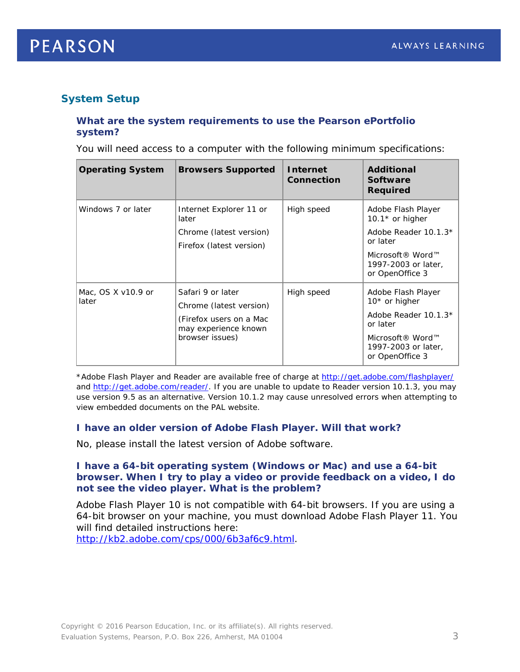

## <span id="page-2-0"></span>**System Setup**

#### *What are the system requirements to use the Pearson ePortfolio system?*

You will need access to a computer with the following minimum specifications:

| <b>Operating System</b>     | <b>Browsers Supported</b>                                                                                          | <b>Internet</b><br><b>Connection</b> | <b>Additional</b><br>Software<br>Required                                                                                                         |
|-----------------------------|--------------------------------------------------------------------------------------------------------------------|--------------------------------------|---------------------------------------------------------------------------------------------------------------------------------------------------|
| Windows 7 or later          | Internet Explorer 11 or<br>later<br>Chrome (latest version)<br>Firefox (latest version)                            | High speed                           | Adobe Flash Player<br>10.1 $*$ or higher<br>Adobe Reader 10.1.3*<br>or later<br>Microsoft® Word™<br>1997-2003 or later,<br>or OpenOffice 3        |
| Mac, OS X v10.9 or<br>later | Safari 9 or later<br>Chrome (latest version)<br>(Firefox users on a Mac<br>may experience known<br>browser issues) | High speed                           | Adobe Flash Player<br>10* or higher<br>Adobe Reader 10.1.3*<br>or later<br>Microsoft <sup>®</sup> Word™<br>1997-2003 or later,<br>or OpenOffice 3 |

\*Adobe Flash Player and Reader are available free of charge at<http://get.adobe.com/flashplayer/> and [http://get.adobe.com/reader/.](http://get.adobe.com/reader/) If you are unable to update to Reader version 10.1.3, you may use version 9.5 as an alternative. Version 10.1.2 may cause unresolved errors when attempting to view embedded documents on the PAL website.

#### *I have an older version of Adobe Flash Player. Will that work?*

No, please install the latest version of Adobe software.

#### *I have a 64-bit operating system (Windows or Mac) and use a 64-bit browser. When I try to play a video or provide feedback on a video, I do not see the video player. What is the problem?*

Adobe Flash Player 10 is not compatible with 64-bit browsers. If you are using a 64-bit browser on your machine, you must download Adobe Flash Player 11. You will find detailed instructions here:

[http://kb2.adobe.com/cps/000/6b3af6c9.html.](http://kb2.adobe.com/cps/000/6b3af6c9.html)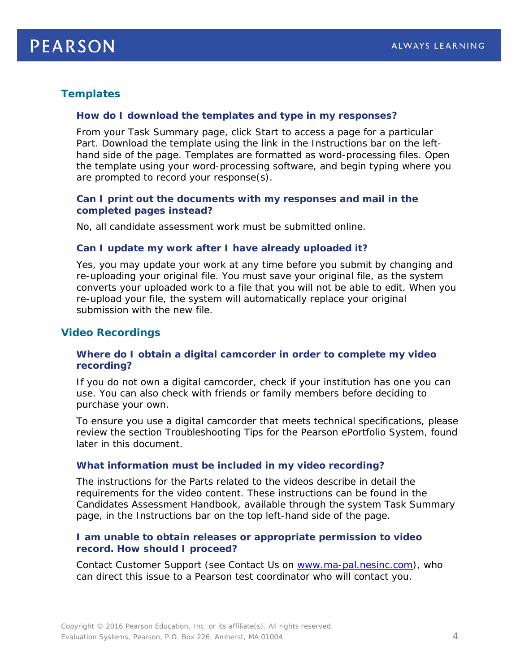## <span id="page-3-0"></span>**Templates**

#### *How do I download the templates and type in my responses?*

From your Task Summary page, click Start to access a page for a particular Part. Download the template using the link in the Instructions bar on the lefthand side of the page. Templates are formatted as word-processing files. Open the template using your word-processing software, and begin typing where you are prompted to record your response(s).

#### *Can I print out the documents with my responses and mail in the completed pages instead?*

No, all candidate assessment work must be submitted online.

#### *Can I update my work after I have already uploaded it?*

Yes, you may update your work at any time before you submit by changing and re-uploading your original file. You must save your original file, as the system converts your uploaded work to a file that you will not be able to edit. When you re-upload your file, the system will automatically replace your original submission with the new file.

#### <span id="page-3-1"></span>**Video Recordings**

#### *Where do I obtain a digital camcorder in order to complete my video recording?*

If you do not own a digital camcorder, check if your institution has one you can use. You can also check with friends or family members before deciding to purchase your own.

To ensure you use a digital camcorder that meets technical specifications, please review the section *Troubleshooting Tips for the Pearson ePortfolio System*, found later in this document.

#### *What information must be included in my video recording?*

The instructions for the Parts related to the videos describe in detail the requirements for the video content. These instructions can be found in the Candidates Assessment Handbook, available through the system Task Summary page, in the Instructions bar on the top left-hand side of the page.

#### *I am unable to obtain releases or appropriate permission to video record. How should I proceed?*

Contact Customer Support (see Contact Us on [www.ma-pal.nesinc.com\)](http://www.ma-pal.nesinc.com/), who can direct this issue to a Pearson test coordinator who will contact you.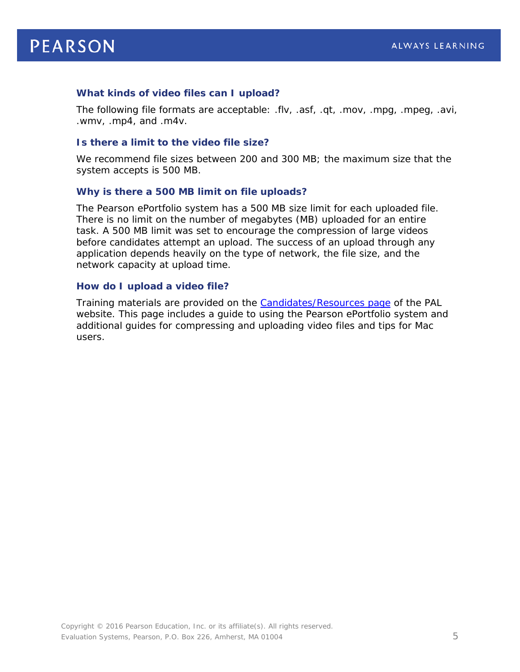#### *What kinds of video files can I upload?*

The following file formats are acceptable: .flv, .asf, .qt, .mov, .mpg, .mpeg, .avi, .wmv, .mp4, and .m4v.

#### *Is there a limit to the video file size?*

We recommend file sizes between 200 and 300 MB; the maximum size that the system accepts is 500 MB.

#### *Why is there a 500 MB limit on file uploads?*

The Pearson ePortfolio system has a 500 MB size limit for each uploaded file. There is no limit on the number of megabytes (MB) uploaded for an entire task. A 500 MB limit was set to encourage the compression of large videos before candidates attempt an upload. The success of an upload through any application depends heavily on the type of network, the file size, and the network capacity at upload time.

#### *How do I upload a video file?*

Training materials are provided on the [Candidates/Resources page](http://www.ma-pal.nesinc.com/PageView.aspx?f=GEN_CandidatesResources.html) of the PAL website. This page includes a guide to using the Pearson ePortfolio system and additional guides for compressing and uploading video files and tips for Mac users.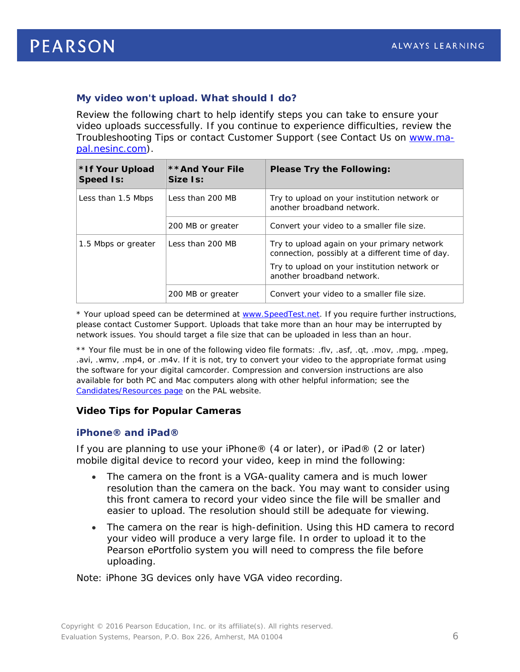## <span id="page-5-0"></span>*My video won't upload. What should I do?*

Review the following chart to help identify steps you can take to ensure your video uploads successfully. If you continue to experience difficulties, review the *Troubleshooting Tips* or contact Customer Support (see Contact Us on [www.ma](http://www.ma-pal.nesinc.com/)[pal.nesinc.com\)](http://www.ma-pal.nesinc.com/).

| *If Your Upload<br><b>Speed Is:</b> | **And Your File<br>Size Is: | <b>Please Try the Following:</b>                                                                |
|-------------------------------------|-----------------------------|-------------------------------------------------------------------------------------------------|
| Less than 1.5 Mbps                  | Less than 200 MB            | Try to upload on your institution network or<br>another broadband network.                      |
|                                     | 200 MB or greater           | Convert your video to a smaller file size.                                                      |
| 1.5 Mbps or greater                 | Less than 200 MB            | Try to upload again on your primary network<br>connection, possibly at a different time of day. |
|                                     |                             | Try to upload on your institution network or<br>another broadband network.                      |
|                                     | 200 MB or greater           | Convert your video to a smaller file size.                                                      |

\* Your upload speed can be determined at [www.SpeedTest.net.](http://www.speedtest.net/) If you require further instructions, please contact Customer Support. Uploads that take more than an hour may be interrupted by network issues. You should target a file size that can be uploaded in less than an hour.

\*\* Your file must be in one of the following video file formats: .flv, .asf, .qt, .mov, .mpg, .mpeg, .avi, .wmv, .mp4, or .m4v. If it is not, try to convert your video to the appropriate format using the software for your digital camcorder. Compression and conversion instructions are also available for both PC and Mac computers along with other helpful information; see the [Candidates/Resources page](http://www.ma-pal.nesinc.com/PageView.aspx?f=GEN_CandidatesResources.html) on the PAL website.

#### **Video Tips for Popular Cameras**

#### *iPhone® and iPad®*

If you are planning to use your iPhone® (4 or later), or iPad® (2 or later) mobile digital device to record your video, keep in mind the following:

- The camera on the front is a VGA-quality camera and is much lower resolution than the camera on the back. You may want to consider using this front camera to record your video since the file will be smaller and easier to upload. The resolution should still be adequate for viewing.
- The camera on the rear is high-definition. Using this HD camera to record your video will produce a very large file. In order to upload it to the Pearson ePortfolio system you will need to compress the file before uploading.

Note: iPhone 3G devices only have VGA video recording.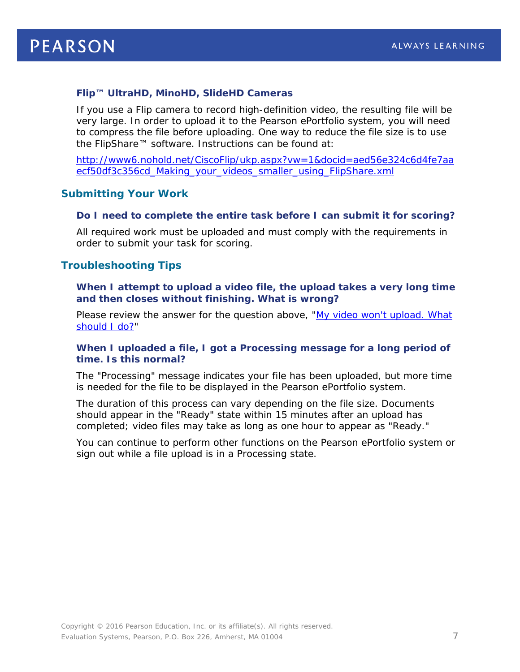## *Flip™ UltraHD, MinoHD, SlideHD Cameras*

If you use a Flip camera to record high-definition video, the resulting file will be very large. In order to upload it to the Pearson ePortfolio system, you will need to compress the file before uploading. One way to reduce the file size is to use the FlipShare™ software. Instructions can be found at:

[http://www6.nohold.net/CiscoFlip/ukp.aspx?vw=1&docid=aed56e324c6d4fe7aa](http://www6.nohold.net/CiscoFlip/ukp.aspx?vw=1&docid=aed56e324c6d4fe7aaecf50df3c356cd_Making_your_videos_smaller_using_FlipShare.xml) ecf50df3c356cd Making\_your\_videos\_smaller\_using\_FlipShare.xml

#### <span id="page-6-0"></span>**Submitting Your Work**

#### *Do I need to complete the entire task before I can submit it for scoring?*

All required work must be uploaded and must comply with the requirements in order to submit your task for scoring.

#### <span id="page-6-1"></span>**Troubleshooting Tips**

When I attempt to upload a video file, the upload takes a very long time *and then closes without finishing. What is wrong?*

Please review the answer for the question above, ["My video won't upload. What](#page-5-0)  [should I do?"](#page-5-0)

#### *When I uploaded a file, I got a Processing message for a long period of time. Is this normal?*

The "Processing" message indicates your file has been uploaded, but more time is needed for the file to be displayed in the Pearson ePortfolio system.

The duration of this process can vary depending on the file size. Documents should appear in the "Ready" state within 15 minutes after an upload has completed; video files may take as long as one hour to appear as "Ready."

You can continue to perform other functions on the Pearson ePortfolio system or sign out while a file upload is in a Processing state.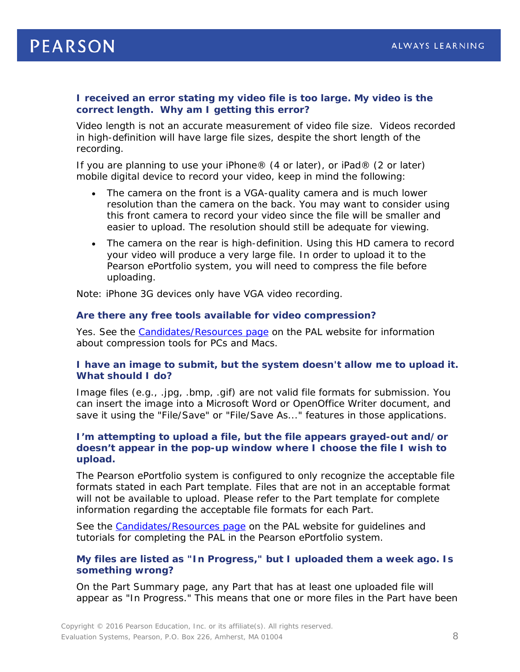#### *I received an error stating my video file is too large. My video is the correct length. Why am I getting this error?*

Video length is not an accurate measurement of video file size. Videos recorded in high-definition will have large file sizes, despite the short length of the recording.

If you are planning to use your iPhone® (4 or later), or iPad® (2 or later) mobile digital device to record your video, keep in mind the following:

- The camera on the front is a VGA-quality camera and is much lower resolution than the camera on the back. You may want to consider using this front camera to record your video since the file will be smaller and easier to upload. The resolution should still be adequate for viewing.
- The camera on the rear is high-definition. Using this HD camera to record your video will produce a very large file. In order to upload it to the Pearson ePortfolio system, you will need to compress the file before uploading.

Note: iPhone 3G devices only have VGA video recording.

#### *Are there any free tools available for video compression?*

Yes. See the [Candidates/Resources page](http://www.ma-pal.nesinc.com/PageView.aspx?f=GEN_CandidatesResources.html) on the PAL website for information about compression tools for PCs and Macs.

#### *I have an image to submit, but the system doesn't allow me to upload it. What should I do?*

Image files (e.g., .jpg, .bmp, .gif) are not valid file formats for submission. You can insert the image into a Microsoft Word or OpenOffice Writer document, and save it using the "File/Save" or "File/Save As..." features in those applications.

#### *I'm attempting to upload a file, but the file appears grayed-out and/or doesn't appear in the pop-up window where I choose the file I wish to upload.*

The Pearson ePortfolio system is configured to only recognize the acceptable file formats stated in each Part template. Files that are not in an acceptable format will not be available to upload. Please refer to the Part template for complete information regarding the acceptable file formats for each Part.

See the [Candidates/Resources page](http://www.ma-pal.nesinc.com/PageView.aspx?f=GEN_CandidatesResources.html) on the PAL website for quidelines and tutorials for completing the PAL in the Pearson ePortfolio system.

#### *My files are listed as "In Progress," but I uploaded them a week ago. Is something wrong?*

On the Part Summary page, any Part that has at least one uploaded file will appear as "In Progress." This means that one or more files in the Part have been